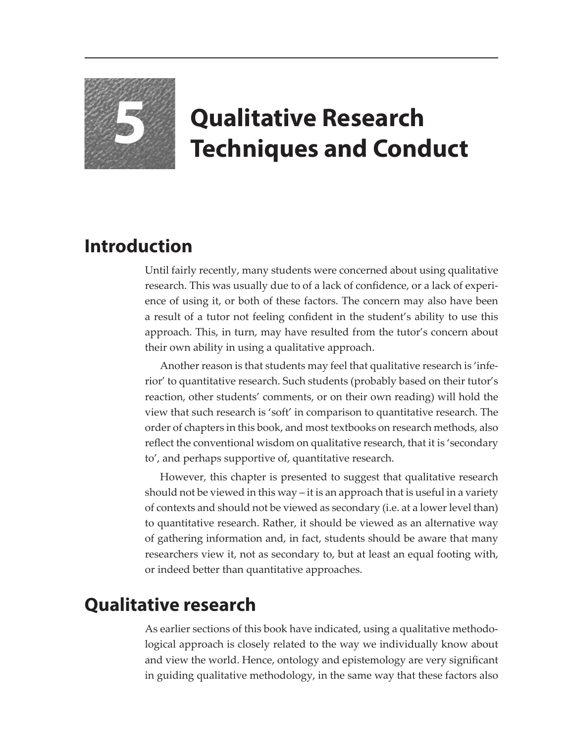

## **5 Qualitative Research Techniques and Conduct**

## **Introduction**

Until fairly recently, many students were concerned about using qualitative research. This was usually due to of a lack of confidence, or a lack of experience of using it, or both of these factors. The concern may also have been a result of a tutor not feeling confident in the student's ability to use this approach. This, in turn, may have resulted from the tutor's concern about their own ability in using a qualitative approach.

Another reason is that students may feel that qualitative research is 'inferior' to quantitative research. Such students (probably based on their tutor's reaction, other students' comments, or on their own reading) will hold the view that such research is 'soft' in comparison to quantitative research. The order of chapters in this book, and most textbooks on research methods, also reflect the conventional wisdom on qualitative research, that it is 'secondary to', and perhaps supportive of, quantitative research.

However, this chapter is presented to suggest that qualitative research should not be viewed in this way – it is an approach that is useful in a variety of contexts and should not be viewed as secondary (i.e. at a lower level than) to quantitative research. Rather, it should be viewed as an alternative way of gathering information and, in fact, students should be aware that many researchers view it, not as secondary to, but at least an equal footing with, or indeed better than quantitative approaches.

## **Qualitative research**

As earlier sections of this book have indicated, using a qualitative methodological approach is closely related to the way we individually know about and view the world. Hence, ontology and epistemology are very significant in guiding qualitative methodology, in the same way that these factors also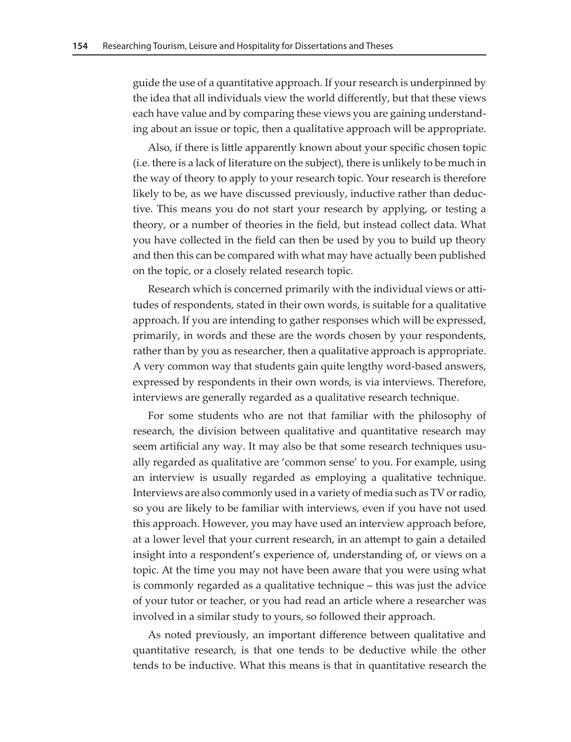guide the use of a quantitative approach. If your research is underpinned by the idea that all individuals view the world differently, but that these views each have value and by comparing these views you are gaining understanding about an issue or topic, then a qualitative approach will be appropriate.

Also, if there is little apparently known about your specific chosen topic (i.e. there is a lack of literature on the subject), there is unlikely to be much in the way of theory to apply to your research topic. Your research is therefore likely to be, as we have discussed previously, inductive rather than deductive. This means you do not start your research by applying, or testing a theory, or a number of theories in the field, but instead collect data. What you have collected in the field can then be used by you to build up theory and then this can be compared with what may have actually been published on the topic, or a closely related research topic.

Research which is concerned primarily with the individual views or attitudes of respondents, stated in their own words, is suitable for a qualitative approach. If you are intending to gather responses which will be expressed, primarily, in words and these are the words chosen by your respondents, rather than by you as researcher, then a qualitative approach is appropriate. A very common way that students gain quite lengthy word-based answers, expressed by respondents in their own words, is via interviews. Therefore, interviews are generally regarded as a qualitative research technique.

For some students who are not that familiar with the philosophy of research, the division between qualitative and quantitative research may seem artificial any way. It may also be that some research techniques usually regarded as qualitative are 'common sense' to you. For example, using an interview is usually regarded as employing a qualitative technique. Interviews are also commonly used in a variety of media such as TV or radio, so you are likely to be familiar with interviews, even if you have not used this approach. However, you may have used an interview approach before, at a lower level that your current research, in an attempt to gain a detailed insight into a respondent's experience of, understanding of, or views on a topic. At the time you may not have been aware that you were using what is commonly regarded as a qualitative technique – this was just the advice of your tutor or teacher, or you had read an article where a researcher was involved in a similar study to yours, so followed their approach.

As noted previously, an important difference between qualitative and quantitative research, is that one tends to be deductive while the other tends to be inductive. What this means is that in quantitative research the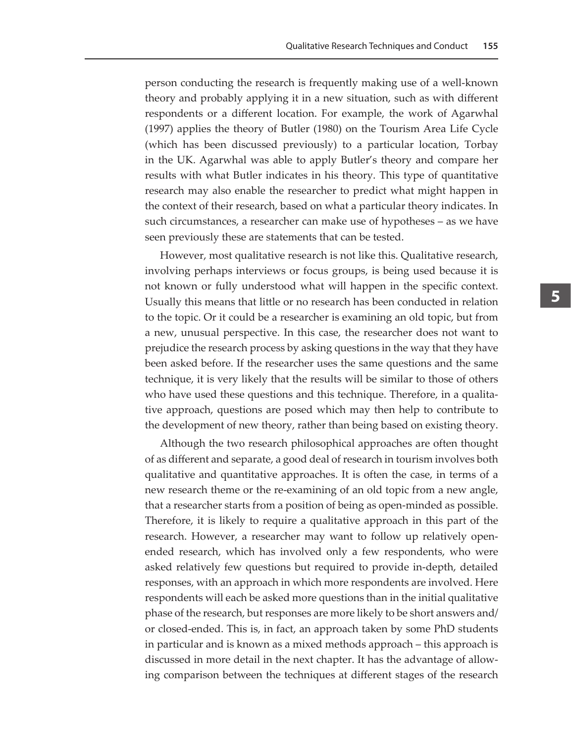person conducting the research is frequently making use of a well-known theory and probably applying it in a new situation, such as with different respondents or a different location. For example, the work of Agarwhal (1997) applies the theory of Butler (1980) on the Tourism Area Life Cycle (which has been discussed previously) to a particular location, Torbay in the UK. Agarwhal was able to apply Butler's theory and compare her results with what Butler indicates in his theory. This type of quantitative research may also enable the researcher to predict what might happen in the context of their research, based on what a particular theory indicates. In such circumstances, a researcher can make use of hypotheses – as we have seen previously these are statements that can be tested.

However, most qualitative research is not like this. Qualitative research, involving perhaps interviews or focus groups, is being used because it is not known or fully understood what will happen in the specific context. Usually this means that little or no research has been conducted in relation to the topic. Or it could be a researcher is examining an old topic, but from a new, unusual perspective. In this case, the researcher does not want to prejudice the research process by asking questions in the way that they have been asked before. If the researcher uses the same questions and the same technique, it is very likely that the results will be similar to those of others who have used these questions and this technique. Therefore, in a qualitative approach, questions are posed which may then help to contribute to the development of new theory, rather than being based on existing theory.

Although the two research philosophical approaches are often thought of as different and separate, a good deal of research in tourism involves both qualitative and quantitative approaches. It is often the case, in terms of a new research theme or the re-examining of an old topic from a new angle, that a researcher starts from a position of being as open-minded as possible. Therefore, it is likely to require a qualitative approach in this part of the research. However, a researcher may want to follow up relatively openended research, which has involved only a few respondents, who were asked relatively few questions but required to provide in-depth, detailed responses, with an approach in which more respondents are involved. Here respondents will each be asked more questions than in the initial qualitative phase of the research, but responses are more likely to be short answers and/ or closed-ended. This is, in fact, an approach taken by some PhD students in particular and is known as a mixed methods approach – this approach is discussed in more detail in the next chapter. It has the advantage of allowing comparison between the techniques at different stages of the research